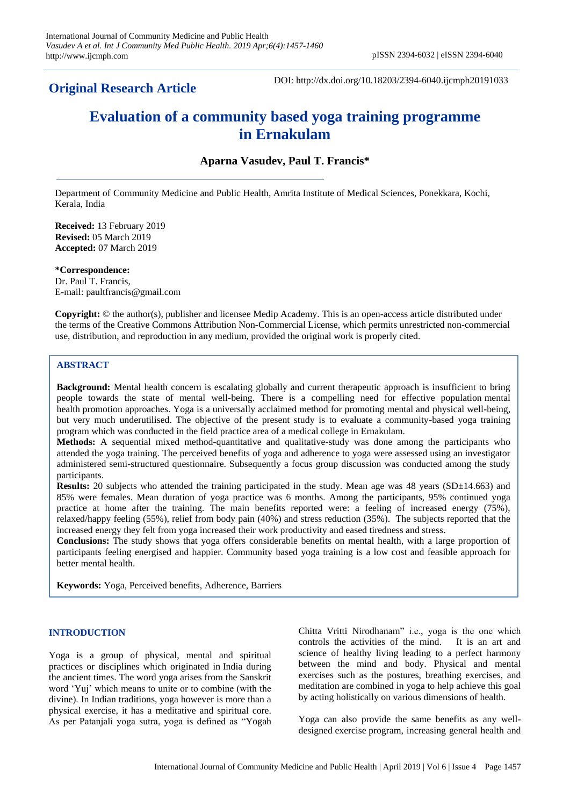**Original Research Article**

DOI: http://dx.doi.org/10.18203/2394-6040.ijcmph20191033

# **Evaluation of a community based yoga training programme in Ernakulam**

# **Aparna Vasudev, Paul T. Francis\***

Department of Community Medicine and Public Health, Amrita Institute of Medical Sciences, Ponekkara, Kochi, Kerala, India

**Received:** 13 February 2019 **Revised:** 05 March 2019 **Accepted:** 07 March 2019

**\*Correspondence:** Dr. Paul T. Francis, E-mail: paultfrancis@gmail.com

**Copyright:** © the author(s), publisher and licensee Medip Academy. This is an open-access article distributed under the terms of the Creative Commons Attribution Non-Commercial License, which permits unrestricted non-commercial use, distribution, and reproduction in any medium, provided the original work is properly cited.

# **ABSTRACT**

**Background:** Mental health concern is escalating globally and current therapeutic approach is insufficient to bring people towards the state of mental well-being. There is a compelling need for effective population mental health promotion approaches. Yoga is a universally acclaimed method for promoting mental and physical well-being, but very much underutilised. The objective of the present study is to evaluate a community-based yoga training program which was conducted in the field practice area of a medical college in Ernakulam.

**Methods:** A sequential mixed method-quantitative and qualitative-study was done among the participants who attended the yoga training. The perceived benefits of yoga and adherence to yoga were assessed using an investigator administered semi-structured questionnaire. Subsequently a focus group discussion was conducted among the study participants.

**Results:** 20 subjects who attended the training participated in the study. Mean age was 48 years (SD±14.663) and 85% were females. Mean duration of yoga practice was 6 months. Among the participants, 95% continued yoga practice at home after the training. The main benefits reported were: a feeling of increased energy (75%), relaxed/happy feeling (55%), relief from body pain (40%) and stress reduction (35%). The subjects reported that the increased energy they felt from yoga increased their work productivity and eased tiredness and stress.

**Conclusions:** The study shows that yoga offers considerable benefits on mental health, with a large proportion of participants feeling energised and happier. Community based yoga training is a low cost and feasible approach for better mental health.

**Keywords:** Yoga, Perceived benefits, Adherence, Barriers

#### **INTRODUCTION**

Yoga is a group of physical, mental and spiritual practices or disciplines which originated in India during the ancient times. The word yoga arises from the Sanskrit word "Yuj" which means to unite or to combine (with the divine). In Indian traditions, yoga however is more than a physical exercise, it has a meditative and spiritual core. As per Patanjali yoga sutra, yoga is defined as "Yogah Chitta Vritti Nirodhanam" i.e., yoga is the one which controls the activities of the mind. It is an art and science of healthy living leading to a perfect harmony between the mind and body. Physical and mental exercises such as the postures, breathing exercises, and meditation are combined in yoga to help achieve this goal by acting holistically on various dimensions of health.

Yoga can also provide the same benefits as any welldesigned exercise program, increasing general health and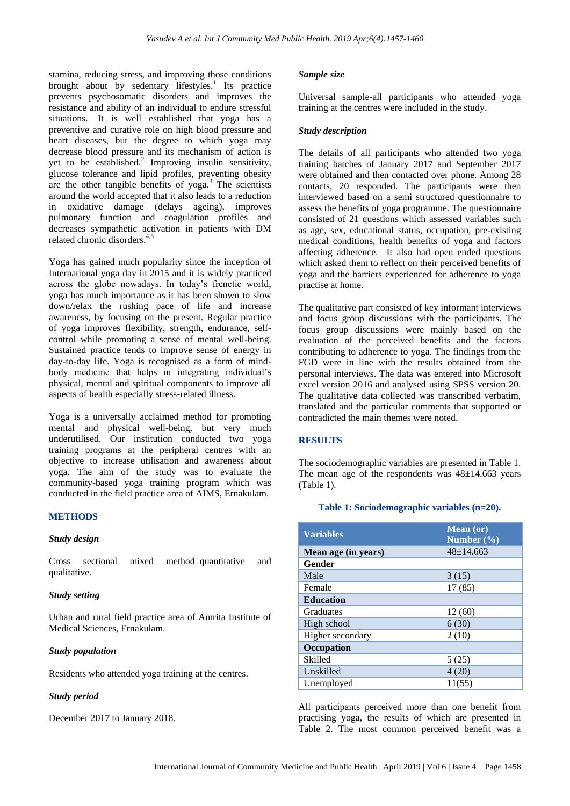stamina, reducing stress, and improving those conditions brought about by sedentary lifestyles.<sup>1</sup> Its practice prevents psychosomatic disorders and improves the resistance and ability of an individual to endure stressful situations. It is well established that yoga has a preventive and curative role on high blood pressure and heart diseases, but the degree to which yoga may decrease blood pressure and its mechanism of action is yet to be established.<sup>2</sup> Improving insulin sensitivity, glucose tolerance and lipid profiles, preventing obesity are the other tangible benefits of yoga.<sup>3</sup> The scientists around the world accepted that it also leads to a reduction in oxidative damage (delays ageing), improves pulmonary function and coagulation profiles and decreases sympathetic activation in patients with DM related chronic disorders.4,5

Yoga has gained much popularity since the inception of International yoga day in 2015 and it is widely practiced across the globe nowadays. In today"s frenetic world, yoga has much importance as it has been shown to slow down/relax the rushing pace of life and increase awareness, by focusing on the present. Regular practice of yoga improves flexibility, strength, endurance, selfcontrol while promoting a sense of mental well-being. Sustained practice tends to improve sense of energy in day-to-day life. Yoga is recognised as a form of mindbody medicine that helps in integrating individual's physical, mental and spiritual components to improve all aspects of health especially stress-related illness.

Yoga is a universally acclaimed method for promoting mental and physical well-being, but very much underutilised. Our institution conducted two yoga training programs at the peripheral centres with an objective to increase utilisation and awareness about yoga. The aim of the study was to evaluate the community-based yoga training program which was conducted in the field practice area of AIMS, Ernakulam.

# **METHODS**

# *Study design*

Cross sectional mixed method–quantitative and qualitative.

# *Study setting*

Urban and rural field practice area of Amrita Institute of Medical Sciences, Ernakulam.

#### *Study population*

Residents who attended yoga training at the centres.

# *Study period*

December 2017 to January 2018.

### *Sample size*

Universal sample-all participants who attended yoga training at the centres were included in the study.

#### *Study description*

The details of all participants who attended two yoga training batches of January 2017 and September 2017 were obtained and then contacted over phone. Among 28 contacts, 20 responded. The participants were then interviewed based on a semi structured questionnaire to assess the benefits of yoga programme. The questionnaire consisted of 21 questions which assessed variables such as age, sex, educational status, occupation, pre-existing medical conditions, health benefits of yoga and factors affecting adherence. It also had open ended questions which asked them to reflect on their perceived benefits of yoga and the barriers experienced for adherence to yoga practise at home.

The qualitative part consisted of key informant interviews and focus group discussions with the participants. The focus group discussions were mainly based on the evaluation of the perceived benefits and the factors contributing to adherence to yoga. The findings from the FGD were in line with the results obtained from the personal interviews. The data was entered into Microsoft excel version 2016 and analysed using SPSS version 20. The qualitative data collected was transcribed verbatim, translated and the particular comments that supported or contradicted the main themes were noted.

# **RESULTS**

The sociodemographic variables are presented in Table 1. The mean age of the respondents was  $48\pm14.663$  years (Table 1).

#### **Table 1: Sociodemographic variables (n=20).**

| <b>Variables</b>    | <b>Mean</b> (or)<br>Number $(\% )$ |
|---------------------|------------------------------------|
| Mean age (in years) | $48 \pm 14.663$                    |
| Gender              |                                    |
| Male                | 3(15)                              |
| Female              | 17(85)                             |
| <b>Education</b>    |                                    |
| Graduates           | 12(60)                             |
| High school         | 6(30)                              |
| Higher secondary    | 2(10)                              |
| Occupation          |                                    |
| Skilled             | 5(25)                              |
| Unskilled           | 4(20)                              |
| Unemployed          | 11(55)                             |

All participants perceived more than one benefit from practising yoga, the results of which are presented in Table 2. The most common perceived benefit was a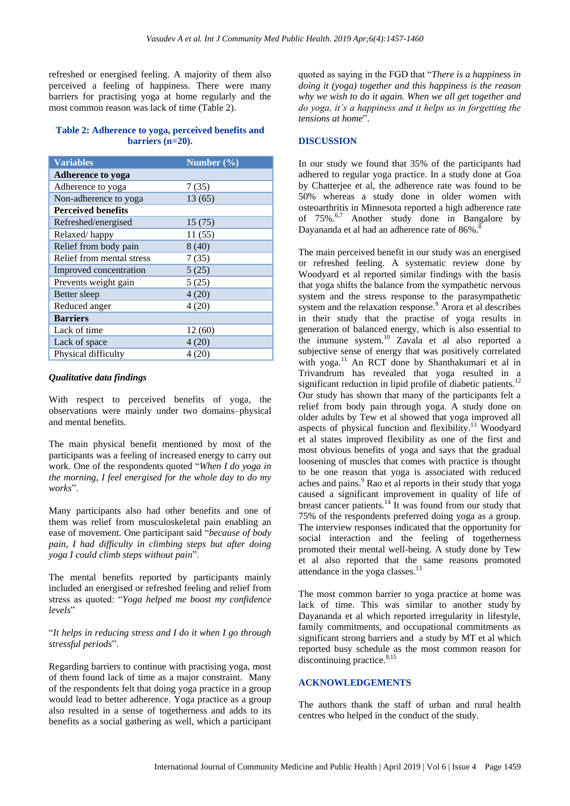refreshed or energised feeling. A majority of them also perceived a feeling of happiness. There were many barriers for practising yoga at home regularly and the most common reason was lack of time (Table 2).

#### **Table 2: Adherence to yoga, perceived benefits and barriers (n=20).**

| <b>Variables</b>          | Number $(\%)$ |
|---------------------------|---------------|
| <b>Adherence to yoga</b>  |               |
| Adherence to yoga         | 7(35)         |
| Non-adherence to yoga     | 13 (65)       |
| <b>Perceived benefits</b> |               |
| Refreshed/energised       | 15(75)        |
| Relaxed/happy             | 11(55)        |
| Relief from body pain     | 8(40)         |
| Relief from mental stress | 7(35)         |
| Improved concentration    | 5(25)         |
| Prevents weight gain      | 5(25)         |
| Better sleep              | 4(20)         |
| Reduced anger             | 4(20)         |
| <b>Barriers</b>           |               |
| Lack of time              | 12(60)        |
| Lack of space             | 4(20)         |
| Physical difficulty       | 4 (20)        |

# *Qualitative data findings*

With respect to perceived benefits of yoga, the observations were mainly under two domains–physical and mental benefits.

The main physical benefit mentioned by most of the participants was a feeling of increased energy to carry out work. One of the respondents quoted "*When I do yoga in the morning, I feel energised for the whole day to do my works*".

Many participants also had other benefits and one of them was relief from musculoskeletal pain enabling an ease of movement. One participant said "*because of body pain, I had difficulty in climbing steps but after doing yoga I could climb steps without pain*".

The mental benefits reported by participants mainly included an energised or refreshed feeling and relief from stress as quoted: "*Yoga helped me boost my confidence levels*"

# "*It helps in reducing stress and I do it when I go through stressful periods*".

Regarding barriers to continue with practising yoga, most of them found lack of time as a major constraint. Many of the respondents felt that doing yoga practice in a group would lead to better adherence. Yoga practice as a group also resulted in a sense of togetherness and adds to its benefits as a social gathering as well, which a participant quoted as saying in the FGD that "*There is a happiness in doing it (yoga) together and this happiness is the reason why we wish to do it again. When we all get together and do yoga, it's a happiness and it helps us in forgetting the tensions at home*".

# **DISCUSSION**

In our study we found that 35% of the participants had adhered to regular yoga practice. In a study done at Goa by Chatterjee et al, the adherence rate was found to be 50% whereas a study done in older women with osteoarthritis in Minnesota reported a high adherence rate of 75%.<sup>6,7</sup> Another study done in Bangalore by Dayananda et al had an adherence rate of 86%.<sup>8</sup>

The main perceived benefit in our study was an energised or refreshed feeling. A systematic review done by Woodyard et al reported similar findings with the basis that yoga shifts the balance from the sympathetic nervous system and the stress response to the parasympathetic system and the relaxation response.<sup>9</sup> Arora et al describes in their study that the practise of yoga results in generation of balanced energy, which is also essential to the immune system.<sup>10</sup> Zavala et al also reported a subjective sense of energy that was positively correlated with yoga.<sup>11</sup> An RCT done by Shanthakumari et al in Trivandrum has revealed that yoga resulted in a significant reduction in lipid profile of diabetic patients.<sup>12</sup> Our study has shown that many of the participants felt a relief from body pain through yoga. A study done on older adults by Tew et al showed that yoga improved all aspects of physical function and flexibility.<sup>13</sup> Woodyard et al states improved flexibility as one of the first and most obvious benefits of yoga and says that the gradual loosening of muscles that comes with practice is thought to be one reason that yoga is associated with reduced aches and pains.<sup>9</sup> Rao et al reports in their study that yoga caused a significant improvement in quality of life of breast cancer patients.<sup>14</sup> It was found from our study that 75% of the respondents preferred doing yoga as a group. The interview responses indicated that the opportunity for social interaction and the feeling of togetherness promoted their mental well-being. A study done by Tew et al also reported that the same reasons promoted attendance in the yoga classes.<sup>13</sup>

The most common barrier to yoga practice at home was lack of time. This was similar to another study by Dayananda et al which reported irregularity in lifestyle, family commitments, and occupational commitments as significant strong barriers and a study by MT et al which reported busy schedule as the most common reason for discontinuing practice.<sup>8,15</sup>

# **ACKNOWLEDGEMENTS**

The authors thank the staff of urban and rural health centres who helped in the conduct of the study.